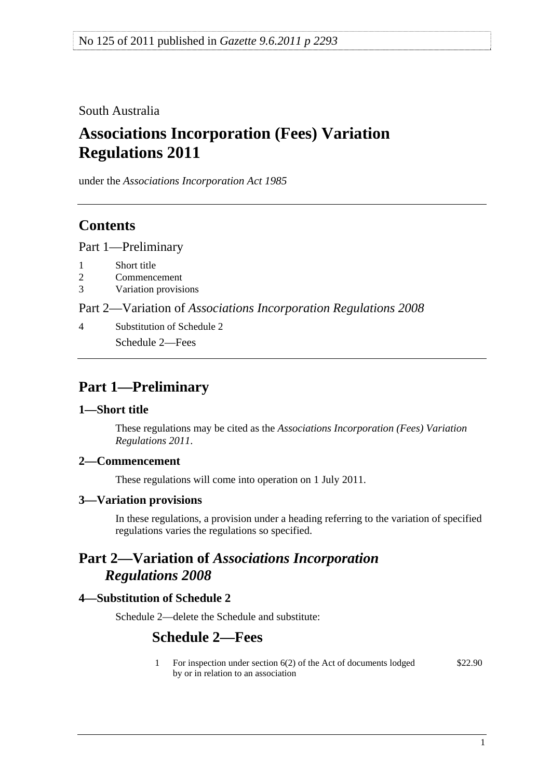<span id="page-0-0"></span>South Australia

# **Associations Incorporation (Fees) Variation Regulations 2011**

under the *Associations Incorporation Act 1985*

## **Contents**

[Part 1—Preliminary](#page-0-0)

- [1 Short title](#page-0-0)
- [2 Commencement](#page-0-0)
- [3 Variation provisions](#page-0-0)

Part 2—Variation of *[Associations Incorporation Regulations 2008](#page-0-0)*

[4 Substitution of Schedule 2](#page-0-0) [Schedule 2—Fees](#page-0-0) 

## **Part 1—Preliminary**

#### **1—Short title**

These regulations may be cited as the *Associations Incorporation (Fees) Variation Regulations 2011*.

## **2—Commencement**

These regulations will come into operation on 1 July 2011.

#### **3—Variation provisions**

In these regulations, a provision under a heading referring to the variation of specified regulations varies the regulations so specified.

## **Part 2—Variation of** *Associations Incorporation Regulations 2008*

## **4—Substitution of Schedule 2**

Schedule 2—delete the Schedule and substitute:

## **Schedule 2—Fees**

1 For inspection under section 6(2) of the Act of documents lodged by or in relation to an association \$22.90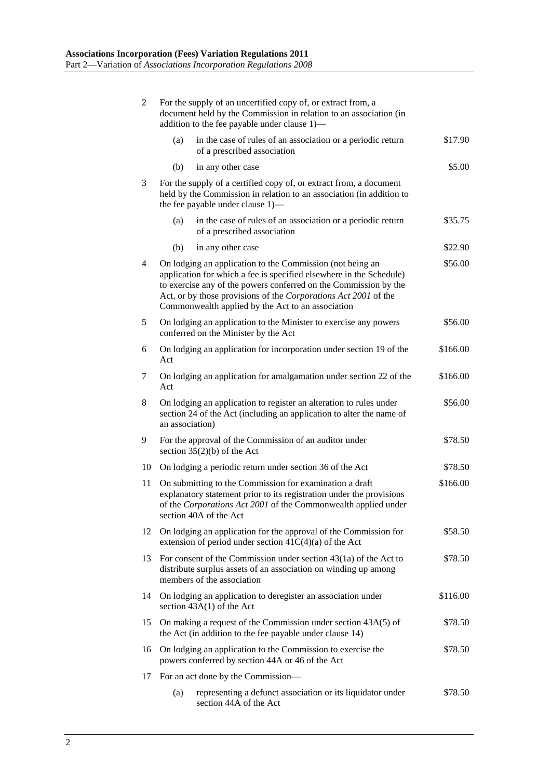| 2  | For the supply of an uncertified copy of, or extract from, a<br>document held by the Commission in relation to an association (in<br>addition to the fee payable under clause 1)-                                                                                                                                            |          |
|----|------------------------------------------------------------------------------------------------------------------------------------------------------------------------------------------------------------------------------------------------------------------------------------------------------------------------------|----------|
|    | in the case of rules of an association or a periodic return<br>(a)<br>of a prescribed association                                                                                                                                                                                                                            | \$17.90  |
|    | in any other case<br>(b)                                                                                                                                                                                                                                                                                                     | \$5.00   |
| 3  | For the supply of a certified copy of, or extract from, a document<br>held by the Commission in relation to an association (in addition to<br>the fee payable under clause 1)—                                                                                                                                               |          |
|    | in the case of rules of an association or a periodic return<br>(a)<br>of a prescribed association                                                                                                                                                                                                                            | \$35.75  |
|    | (b)<br>in any other case                                                                                                                                                                                                                                                                                                     | \$22.90  |
| 4  | On lodging an application to the Commission (not being an<br>application for which a fee is specified elsewhere in the Schedule)<br>to exercise any of the powers conferred on the Commission by the<br>Act, or by those provisions of the Corporations Act 2001 of the<br>Commonwealth applied by the Act to an association | \$56.00  |
| 5  | On lodging an application to the Minister to exercise any powers<br>conferred on the Minister by the Act                                                                                                                                                                                                                     | \$56.00  |
| 6  | On lodging an application for incorporation under section 19 of the<br>Act                                                                                                                                                                                                                                                   | \$166.00 |
| 7  | On lodging an application for amalgamation under section 22 of the<br>Act                                                                                                                                                                                                                                                    | \$166.00 |
| 8  | On lodging an application to register an alteration to rules under<br>section 24 of the Act (including an application to alter the name of<br>an association)                                                                                                                                                                | \$56.00  |
| 9  | For the approval of the Commission of an auditor under<br>section $35(2)(b)$ of the Act                                                                                                                                                                                                                                      | \$78.50  |
| 10 | On lodging a periodic return under section 36 of the Act                                                                                                                                                                                                                                                                     | \$78.50  |
| 11 | On submitting to the Commission for examination a draft<br>explanatory statement prior to its registration under the provisions<br>of the Corporations Act 2001 of the Commonwealth applied under<br>section 40A of the Act                                                                                                  | \$166.00 |
| 12 | On lodging an application for the approval of the Commission for<br>extension of period under section $41C(4)(a)$ of the Act                                                                                                                                                                                                 | \$58.50  |
| 13 | For consent of the Commission under section $43(1a)$ of the Act to<br>distribute surplus assets of an association on winding up among<br>members of the association                                                                                                                                                          | \$78.50  |
| 14 | On lodging an application to deregister an association under<br>section $43A(1)$ of the Act                                                                                                                                                                                                                                  | \$116.00 |
| 15 | On making a request of the Commission under section 43A(5) of<br>the Act (in addition to the fee payable under clause 14)                                                                                                                                                                                                    | \$78.50  |
| 16 | On lodging an application to the Commission to exercise the<br>powers conferred by section 44A or 46 of the Act                                                                                                                                                                                                              | \$78.50  |
| 17 | For an act done by the Commission—                                                                                                                                                                                                                                                                                           |          |
|    | (a)<br>representing a defunct association or its liquidator under<br>section 44A of the Act                                                                                                                                                                                                                                  | \$78.50  |